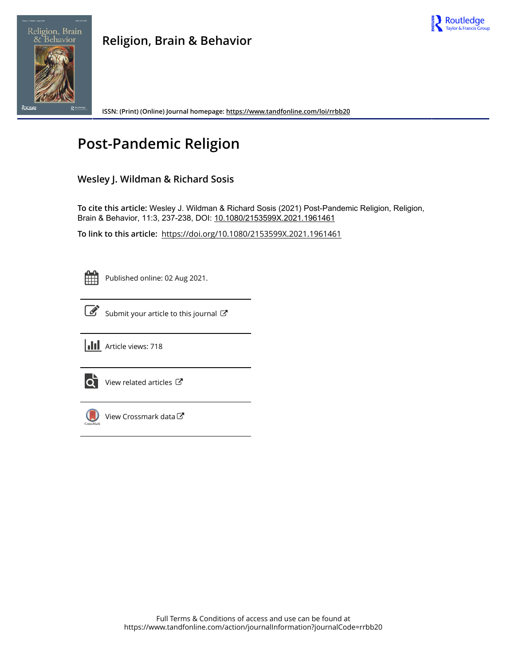



**ISSN: (Print) (Online) Journal homepage:<https://www.tandfonline.com/loi/rrbb20>**

# **Post-Pandemic Religion**

### **Wesley J. Wildman & Richard Sosis**

**To cite this article:** Wesley J. Wildman & Richard Sosis (2021) Post-Pandemic Religion, Religion, Brain & Behavior, 11:3, 237-238, DOI: [10.1080/2153599X.2021.1961461](https://www.tandfonline.com/action/showCitFormats?doi=10.1080/2153599X.2021.1961461)

**To link to this article:** <https://doi.org/10.1080/2153599X.2021.1961461>

Published online: 02 Aug 2021.



[Submit your article to this journal](https://www.tandfonline.com/action/authorSubmission?journalCode=rrbb20&show=instructions)  $\mathbb{Z}$ 





 $\overrightarrow{Q}$  [View related articles](https://www.tandfonline.com/doi/mlt/10.1080/2153599X.2021.1961461)  $\overrightarrow{C}$ 



 $\bigcirc$  [View Crossmark data](http://crossmark.crossref.org/dialog/?doi=10.1080/2153599X.2021.1961461&domain=pdf&date_stamp=2021-08-02)  $\mathbb{Z}$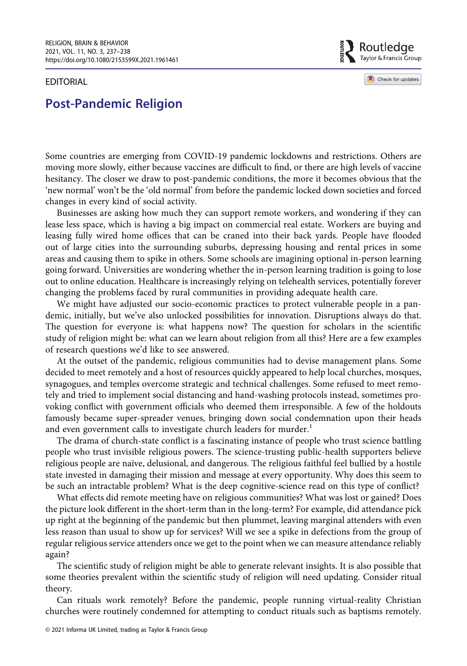#### EDITORIAL

Routledge Taylor & Francis Group

Check for updates

## Post-Pandemic Religion

Some countries are emerging from COVID-19 pandemic lockdowns and restrictions. Others are moving more slowly, either because vaccines are difficult to find, or there are high levels of vaccine hesitancy. The closer we draw to post-pandemic conditions, the more it becomes obvious that the 'new normal' won't be the 'old normal' from before the pandemic locked down societies and forced changes in every kind of social activity.

Businesses are asking how much they can support remote workers, and wondering if they can lease less space, which is having a big impact on commercial real estate. Workers are buying and leasing fully wired home offices that can be craned into their back yards. People have flooded out of large cities into the surrounding suburbs, depressing housing and rental prices in some areas and causing them to spike in others. Some schools are imagining optional in-person learning going forward. Universities are wondering whether the in-person learning tradition is going to lose out to online education. Healthcare is increasingly relying on telehealth services, potentially forever changing the problems faced by rural communities in providing adequate health care.

We might have adjusted our socio-economic practices to protect vulnerable people in a pandemic, initially, but we've also unlocked possibilities for innovation. Disruptions always do that. The question for everyone is: what happens now? The question for scholars in the scientific study of religion might be: what can we learn about religion from all this? Here are a few examples of research questions we'd like to see answered.

At the outset of the pandemic, religious communities had to devise management plans. Some decided to meet remotely and a host of resources quickly appeared to help local churches, mosques, synagogues, and temples overcome strategic and technical challenges. Some refused to meet remotely and tried to implement social distancing and hand-washing protocols instead, sometimes provoking conflict with government officials who deemed them irresponsible. A few of the holdouts famously became super-spreader venues, bringing down social condemnation upon their heads and even government calls to investigate church leaders for murder.<sup>[1](#page-2-0)</sup>

The drama of church-state conflict is a fascinating instance of people who trust science battling people who trust invisible religious powers. The science-trusting public-health supporters believe religious people are naïve, delusional, and dangerous. The religious faithful feel bullied by a hostile state invested in damaging their mission and message at every opportunity. Why does this seem to be such an intractable problem? What is the deep cognitive-science read on this type of conflict?

What effects did remote meeting have on religious communities? What was lost or gained? Does the picture look different in the short-term than in the long-term? For example, did attendance pick up right at the beginning of the pandemic but then plummet, leaving marginal attenders with even less reason than usual to show up for services? Will we see a spike in defections from the group of regular religious service attenders once we get to the point when we can measure attendance reliably again?

The scientific study of religion might be able to generate relevant insights. It is also possible that some theories prevalent within the scientific study of religion will need updating. Consider ritual theory.

Can rituals work remotely? Before the pandemic, people running virtual-reality Christian churches were routinely condemned for attempting to conduct rituals such as baptisms remotely.